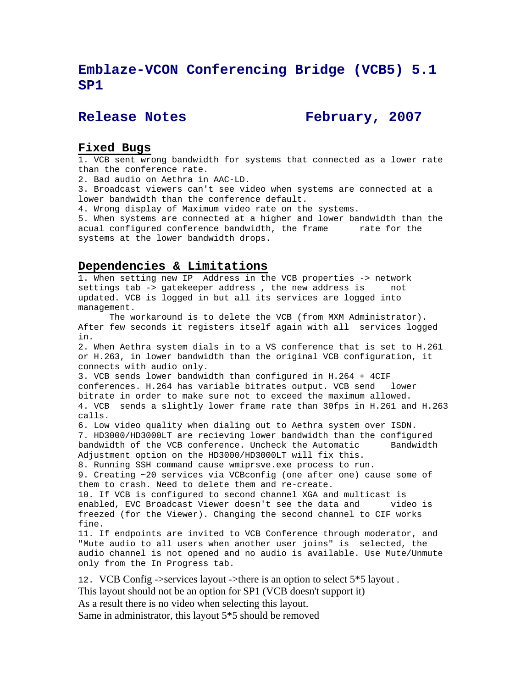# **Emblaze-VCON Conferencing Bridge (VCB5) 5.1 SP1**

Release Notes **February, 2007** 

## **Fixed Bugs**

1. VCB sent wrong bandwidth for systems that connected as a lower rate than the conference rate.

2. Bad audio on Aethra in AAC-LD.

3. Broadcast viewers can't see video when systems are connected at a lower bandwidth than the conference default.

4. Wrong display of Maximum video rate on the systems.

5. When systems are connected at a higher and lower bandwidth than the acual configured conference bandwidth, the frame rate for the systems at the lower bandwidth drops.

#### **Dependencies & Limitations**

1. When setting new IP Address in the VCB properties -> network settings tab -> gatekeeper address , the new address is not updated. VCB is logged in but all its services are logged into management.

 The workaround is to delete the VCB (from MXM Administrator). After few seconds it registers itself again with all services logged in.

2. When Aethra system dials in to a VS conference that is set to H.261 or H.263, in lower bandwidth than the original VCB configuration, it connects with audio only.

3. VCB sends lower bandwidth than configured in H.264 + 4CIF conferences. H.264 has variable bitrates output. VCB send lower bitrate in order to make sure not to exceed the maximum allowed. 4. VCB sends a slightly lower frame rate than 30fps in H.261 and H.263 calls.

6. Low video quality when dialing out to Aethra system over ISDN. 7. HD3000/HD3000LT are recieving lower bandwidth than the configured bandwidth of the VCB conference. Uncheck the Automatic Bandwidth Adjustment option on the HD3000/HD3000LT will fix this.

8. Running SSH command cause wmiprsve.exe process to run. 9. Creating ~20 services via VCBconfig (one after one) cause some of them to crash. Need to delete them and re-create.

10. If VCB is configured to second channel XGA and multicast is enabled, EVC Broadcast Viewer doesn't see the data and video is freezed (for the Viewer). Changing the second channel to CIF works fine.

11. If endpoints are invited to VCB Conference through moderator, and "Mute audio to all users when another user joins" is selected, the audio channel is not opened and no audio is available. Use Mute/Unmute only from the In Progress tab.

12. VCB Config ->services layout ->there is an option to select 5\*5 layout . This layout should not be an option for SP1 (VCB doesn't support it) As a result there is no video when selecting this layout.

Same in administrator, this layout 5\*5 should be removed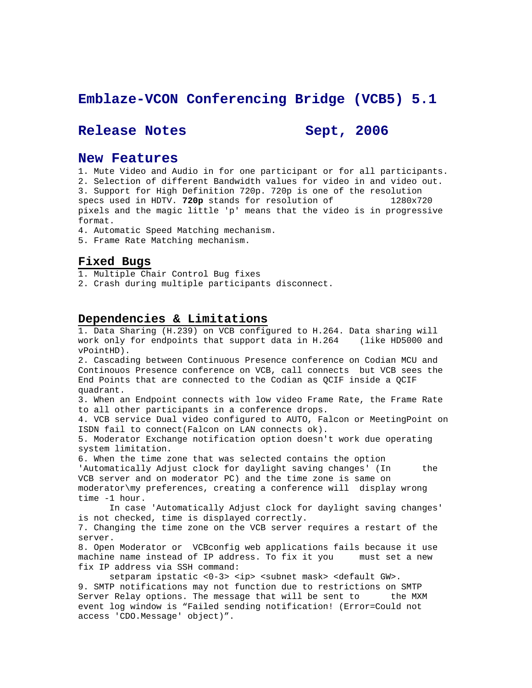## **Emblaze-VCON Conferencing Bridge (VCB5) 5.1**

## Release Notes Sept, 2006

### **New Features**

1. Mute Video and Audio in for one participant or for all participants. 2. Selection of different Bandwidth values for video in and video out. 3. Support for High Definition 720p. 720p is one of the resolution specs used in HDTV. **720p** stands for resolution of 1280x720

pixels and the magic little 'p' means that the video is in progressive format.

4. Automatic Speed Matching mechanism.

5. Frame Rate Matching mechanism.

## **Fixed Bugs**

1. Multiple Chair Control Bug fixes

2. Crash during multiple participants disconnect.

#### **Dependencies & Limitations**

1. Data Sharing (H.239) on VCB configured to H.264. Data sharing will work only for endpoints that support data in H.264 (like HD5000 and vPointHD).

2. Cascading between Continuous Presence conference on Codian MCU and Continouos Presence conference on VCB, call connects but VCB sees the End Points that are connected to the Codian as QCIF inside a QCIF quadrant.

3. When an Endpoint connects with low video Frame Rate, the Frame Rate to all other participants in a conference drops.

4. VCB service Dual video configured to AUTO, Falcon or MeetingPoint on ISDN fail to connect(Falcon on LAN connects ok).

5. Moderator Exchange notification option doesn't work due operating system limitation.

6. When the time zone that was selected contains the option 'Automatically Adjust clock for daylight saving changes' (In the VCB server and on moderator PC) and the time zone is same on moderator\my preferences, creating a conference will display wrong time -1 hour.

 In case 'Automatically Adjust clock for daylight saving changes' is not checked, time is displayed correctly.

7. Changing the time zone on the VCB server requires a restart of the server.

8. Open Moderator or VCBconfig web applications fails because it use machine name instead of IP address. To fix it you must set a new fix IP address via SSH command:

setparam ipstatic <0-3> <ip> <subnet mask> <default GW>. 9. SMTP notifications may not function due to restrictions on SMTP Server Relay options. The message that will be sent to the MXM event log window is "Failed sending notification! (Error=Could not access 'CDO.Message' object)".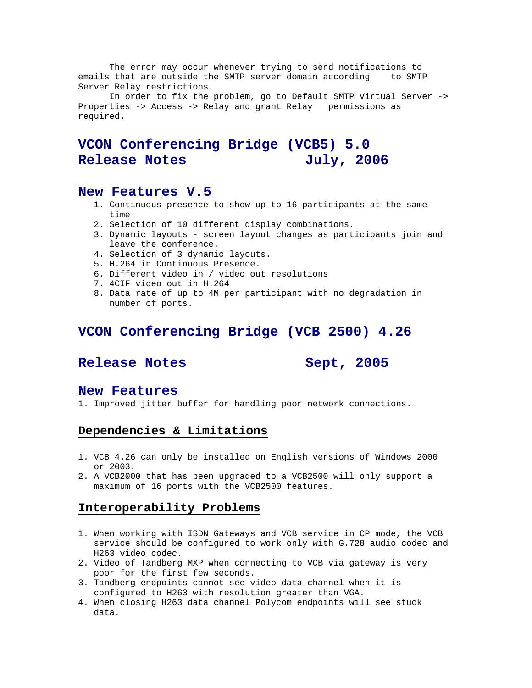The error may occur whenever trying to send notifications to emails that are outside the SMTP server domain according to SMTP Server Relay restrictions.

 In order to fix the problem, go to Default SMTP Virtual Server -> Properties -> Access -> Relay and grant Relay permissions as required.

# **VCON Conferencing Bridge (VCB5) 5.0**  Release Notes **July, 2006**

## **New Features V.5**

- 1. Continuous presence to show up to 16 participants at the same time
- 2. Selection of 10 different display combinations.
- 3. Dynamic layouts screen layout changes as participants join and leave the conference.
- 4. Selection of 3 dynamic layouts.
- 5. H.264 in Continuous Presence.
- 6. Different video in / video out resolutions
- 7. 4CIF video out in H.264
- 8. Data rate of up to 4M per participant with no degradation in number of ports.

## **VCON Conferencing Bridge (VCB 2500) 4.26**

## Release Notes Sept, 2005

#### **New Features**

1. Improved jitter buffer for handling poor network connections.

## **Dependencies & Limitations**

- 1. VCB 4.26 can only be installed on English versions of Windows 2000 or 2003.
- 2. A VCB2000 that has been upgraded to a VCB2500 will only support a maximum of 16 ports with the VCB2500 features.

## **Interoperability Problems**

- 1. When working with ISDN Gateways and VCB service in CP mode, the VCB service should be configured to work only with G.728 audio codec and H263 video codec.
- 2. Video of Tandberg MXP when connecting to VCB via gateway is very poor for the first few seconds.
- 3. Tandberg endpoints cannot see video data channel when it is configured to H263 with resolution greater than VGA.
- 4. When closing H263 data channel Polycom endpoints will see stuck data.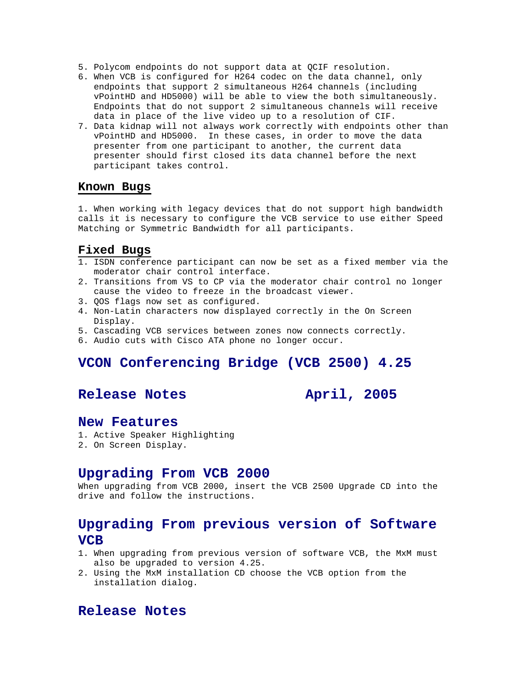- 5. Polycom endpoints do not support data at QCIF resolution.
- 6. When VCB is configured for H264 codec on the data channel, only endpoints that support 2 simultaneous H264 channels (including vPointHD and HD5000) will be able to view the both simultaneously. Endpoints that do not support 2 simultaneous channels will receive data in place of the live video up to a resolution of CIF.
- 7. Data kidnap will not always work correctly with endpoints other than vPointHD and HD5000. In these cases, in order to move the data presenter from one participant to another, the current data presenter should first closed its data channel before the next participant takes control.

#### **Known Bugs**

1. When working with legacy devices that do not support high bandwidth calls it is necessary to configure the VCB service to use either Speed Matching or Symmetric Bandwidth for all participants.

#### **Fixed Bugs**

- 1. ISDN conference participant can now be set as a fixed member via the moderator chair control interface.
- 2. Transitions from VS to CP via the moderator chair control no longer cause the video to freeze in the broadcast viewer.
- 3. QOS flags now set as configured.
- 4. Non-Latin characters now displayed correctly in the On Screen Display.
- 5. Cascading VCB services between zones now connects correctly.
- 6. Audio cuts with Cisco ATA phone no longer occur.

## **VCON Conferencing Bridge (VCB 2500) 4.25**

## **Release Notes April, 2005**

### **New Features**

- 1. Active Speaker Highlighting
- 2. On Screen Display.

#### **Upgrading From VCB 2000**

When upgrading from VCB 2000, insert the VCB 2500 Upgrade CD into the drive and follow the instructions.

## **Upgrading From previous version of Software VCB**

- 1. When upgrading from previous version of software VCB, the MxM must also be upgraded to version 4.25.
- 2. Using the MxM installation CD choose the VCB option from the installation dialog.

## **Release Notes**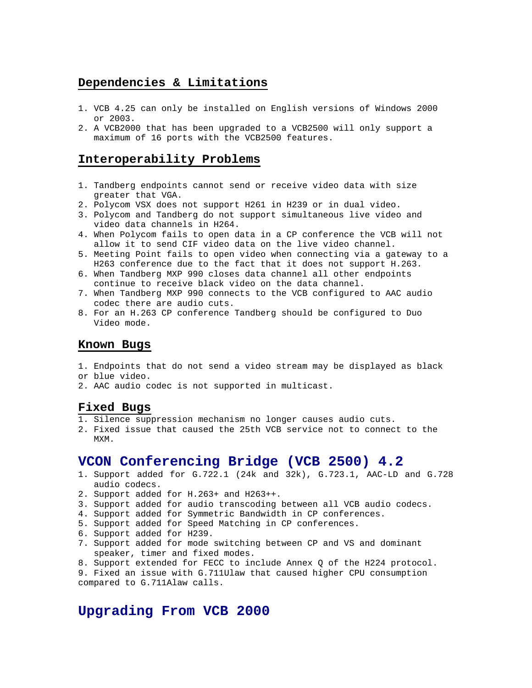## **Dependencies & Limitations**

- 1. VCB 4.25 can only be installed on English versions of Windows 2000 or 2003.
- 2. A VCB2000 that has been upgraded to a VCB2500 will only support a maximum of 16 ports with the VCB2500 features.

## **Interoperability Problems**

- 1. Tandberg endpoints cannot send or receive video data with size greater that VGA.
- 2. Polycom VSX does not support H261 in H239 or in dual video.
- 3. Polycom and Tandberg do not support simultaneous live video and video data channels in H264.
- 4. When Polycom fails to open data in a CP conference the VCB will not allow it to send CIF video data on the live video channel.
- 5. Meeting Point fails to open video when connecting via a gateway to a H263 conference due to the fact that it does not support H.263.
- 6. When Tandberg MXP 990 closes data channel all other endpoints continue to receive black video on the data channel.
- 7. When Tandberg MXP 990 connects to the VCB configured to AAC audio codec there are audio cuts.
- 8. For an H.263 CP conference Tandberg should be configured to Duo Video mode.

#### **Known Bugs**

- 1. Endpoints that do not send a video stream may be displayed as black or blue video.
- 2. AAC audio codec is not supported in multicast.

#### **Fixed Bugs**

- 1. Silence suppression mechanism no longer causes audio cuts.
- 2. Fixed issue that caused the 25th VCB service not to connect to the MXM.

## **VCON Conferencing Bridge (VCB 2500) 4.2**

- 1. Support added for G.722.1 (24k and 32k), G.723.1, AAC-LD and G.728 audio codecs.
- 2. Support added for H.263+ and H263++.
- 3. Support added for audio transcoding between all VCB audio codecs.
- 4. Support added for Symmetric Bandwidth in CP conferences.
- 5. Support added for Speed Matching in CP conferences.
- 6. Support added for H239.
- 7. Support added for mode switching between CP and VS and dominant speaker, timer and fixed modes.
- 8. Support extended for FECC to include Annex Q of the H224 protocol.

9. Fixed an issue with G.711Ulaw that caused higher CPU consumption compared to G.711Alaw calls.

## **Upgrading From VCB 2000**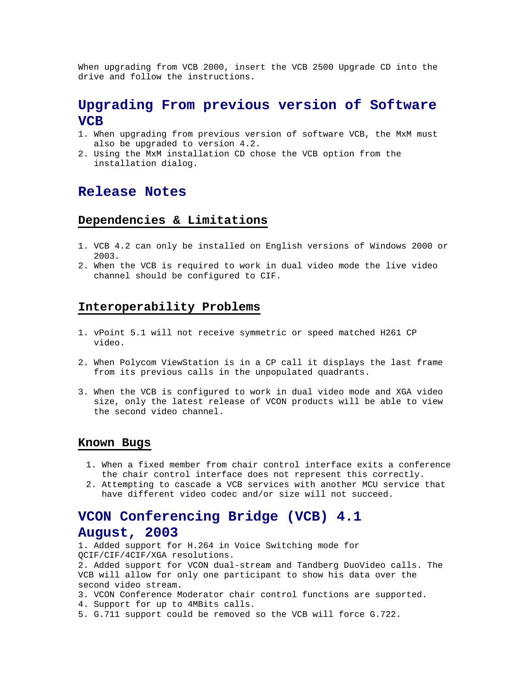When upgrading from VCB 2000, insert the VCB 2500 Upgrade CD into the drive and follow the instructions.

## **Upgrading From previous version of Software VCB**

- 1. When upgrading from previous version of software VCB, the MxM must also be upgraded to version 4.2.
- 2. Using the MxM installation CD chose the VCB option from the installation dialog.

## **Release Notes**

#### **Dependencies & Limitations**

- 1. VCB 4.2 can only be installed on English versions of Windows 2000 or 2003.
- 2. When the VCB is required to work in dual video mode the live video channel should be configured to CIF.

### **Interoperability Problems**

- 1. vPoint 5.1 will not receive symmetric or speed matched H261 CP video.
- 2. When Polycom ViewStation is in a CP call it displays the last frame from its previous calls in the unpopulated quadrants.
- 3. When the VCB is configured to work in dual video mode and XGA video size, only the latest release of VCON products will be able to view the second video channel.

#### **Known Bugs**

- 1. When a fixed member from chair control interface exits a conference the chair control interface does not represent this correctly.
- 2. Attempting to cascade a VCB services with another MCU service that have different video codec and/or size will not succeed.

# **VCON Conferencing Bridge (VCB) 4.1 August, 2003**

1. Added support for H.264 in Voice Switching mode for QCIF/CIF/4CIF/XGA resolutions.

2. Added support for VCON dual-stream and Tandberg DuoVideo calls. The VCB will allow for only one participant to show his data over the second video stream.

- 3. VCON Conference Moderator chair control functions are supported.
- 4. Support for up to 4MBits calls.
- 5. G.711 support could be removed so the VCB will force G.722.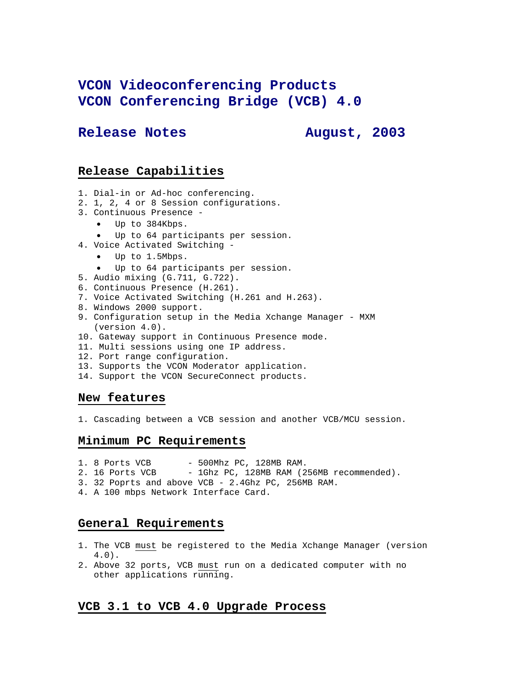# **VCON Videoconferencing Products VCON Conferencing Bridge (VCB) 4.0**

## Release Notes **August, 2003**

## **Release Capabilities**

- 1. Dial-in or Ad-hoc conferencing.
- 2. 1, 2, 4 or 8 Session configurations.
- 3. Continuous Presence
	- Up to 384Kbps.
	- Up to 64 participants per session.
- 4. Voice Activated Switching
	- Up to 1.5Mbps.
	- Up to 64 participants per session.
- 5. Audio mixing (G.711, G.722).
- 6. Continuous Presence (H.261).
- 7. Voice Activated Switching (H.261 and H.263).
- 8. Windows 2000 support.
- 9. Configuration setup in the Media Xchange Manager MXM (version 4.0).
- 10. Gateway support in Continuous Presence mode.
- 11. Multi sessions using one IP address.
- 12. Port range configuration.
- 13. Supports the VCON Moderator application.
- 14. Support the VCON SecureConnect products.

#### **New features**

1. Cascading between a VCB session and another VCB/MCU session.

## **Minimum PC Requirements**

- 1. 8 Ports VCB 500Mhz PC, 128MB RAM.
- 2. 16 Ports VCB 1Ghz PC, 128MB RAM (256MB recommended).
- 3. 32 Poprts and above VCB 2.4Ghz PC, 256MB RAM.
- 4. A 100 mbps Network Interface Card.

## **General Requirements**

- 1. The VCB must be registered to the Media Xchange Manager (version 4.0).
- 2. Above 32 ports, VCB must run on a dedicated computer with no other applications running.

## **VCB 3.1 to VCB 4.0 Upgrade Process**